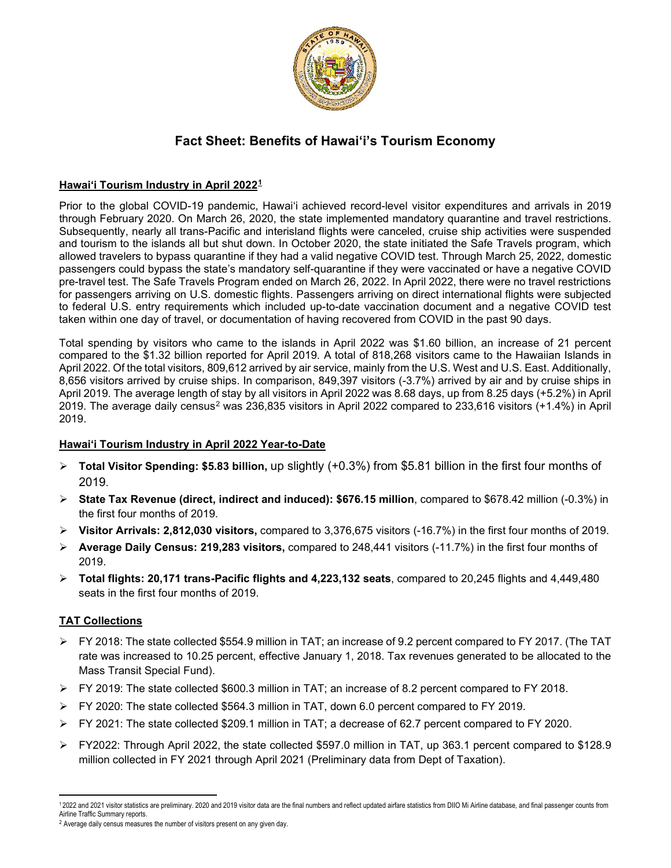

# **Fact Sheet: Benefits of Hawai'i's Tourism Economy**

## **Hawai'i Tourism Industry in April 2022[1](#page-0-0)**

Prior to the global COVID-19 pandemic, Hawai'i achieved record-level visitor expenditures and arrivals in 2019 through February 2020. On March 26, 2020, the state implemented mandatory quarantine and travel restrictions. Subsequently, nearly all trans-Pacific and interisland flights were canceled, cruise ship activities were suspended and tourism to the islands all but shut down. In October 2020, the state initiated the Safe Travels program, which allowed travelers to bypass quarantine if they had a valid negative COVID test. Through March 25, 2022, domestic passengers could bypass the state's mandatory self-quarantine if they were vaccinated or have a negative COVID pre-travel test. The Safe Travels Program ended on March 26, 2022. In April 2022, there were no travel restrictions for passengers arriving on U.S. domestic flights. Passengers arriving on direct international flights were subjected to federal U.S. entry requirements which included up-to-date vaccination document and a negative COVID test taken within one day of travel, or documentation of having recovered from COVID in the past 90 days.

Total spending by visitors who came to the islands in April 2022 was \$1.60 billion, an increase of 21 percent compared to the \$1.32 billion reported for April 2019. A total of 818,268 visitors came to the Hawaiian Islands in April 2022. Of the total visitors, 809,612 arrived by air service, mainly from the U.S. West and U.S. East. Additionally, 8,656 visitors arrived by cruise ships. In comparison, 849,397 visitors (-3.7%) arrived by air and by cruise ships in April 2019. The average length of stay by all visitors in April 2022 was 8.68 days, up from 8.25 days (+5.2%) in April 2019. The average daily census[2](#page-0-1) was 236,835 visitors in April 2022 compared to 233,616 visitors (+1.4%) in April 2019.

#### **Hawai'i Tourism Industry in April 2022 Year-to-Date**

- **Total Visitor Spending: \$5.83 billion,** up slightly (+0.3%) from \$5.81 billion in the first four months of 2019.
- **State Tax Revenue (direct, indirect and induced): \$676.15 million**, compared to \$678.42 million (-0.3%) in the first four months of 2019.
- **Visitor Arrivals: 2,812,030 visitors,** compared to 3,376,675 visitors (-16.7%) in the first four months of 2019.
- **Average Daily Census: 219,283 visitors,** compared to 248,441 visitors (-11.7%) in the first four months of 2019.
- **Total flights: 20,171 trans-Pacific flights and 4,223,132 seats**, compared to 20,245 flights and 4,449,480 seats in the first four months of 2019.

## **TAT Collections**

- FY 2018: The state collected \$554.9 million in TAT; an increase of 9.2 percent compared to FY 2017. (The TAT rate was increased to 10.25 percent, effective January 1, 2018. Tax revenues generated to be allocated to the Mass Transit Special Fund).
- $\triangleright$  FY 2019: The state collected \$600.3 million in TAT; an increase of 8.2 percent compared to FY 2018.
- $\triangleright$  FY 2020: The state collected \$564.3 million in TAT, down 6.0 percent compared to FY 2019.
- $\triangleright$  FY 2021: The state collected \$209.1 million in TAT; a decrease of 62.7 percent compared to FY 2020.
- FY2022: Through April 2022, the state collected \$597.0 million in TAT, up 363.1 percent compared to \$128.9 million collected in FY 2021 through April 2021 (Preliminary data from Dept of Taxation).

<span id="page-0-0"></span><sup>12022</sup> and 2021 visitor statistics are preliminary. 2020 and 2019 visitor data are the final numbers and reflect updated airfare statistics from DIIO Mi Airline database, and final passenger counts from<br>Airline Traffic Summ

<span id="page-0-1"></span><sup>&</sup>lt;sup>2</sup> Average daily census measures the number of visitors present on any given day.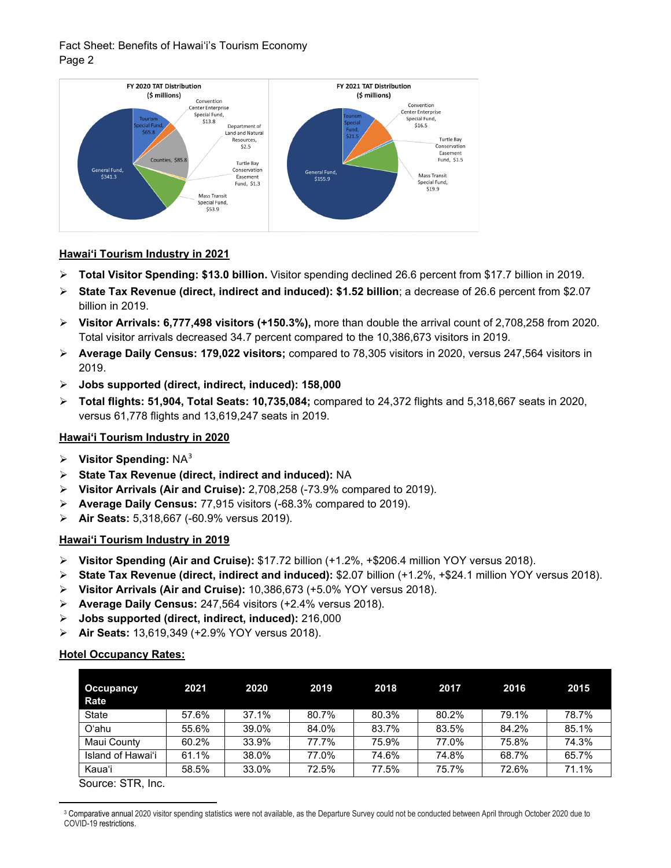## Fact Sheet: Benefits of Hawai'i's Tourism Economy Page 2



#### **Hawai'i Tourism Industry in 2021**

- **Total Visitor Spending: \$13.0 billion.** Visitor spending declined 26.6 percent from \$17.7 billion in 2019.
- **State Tax Revenue (direct, indirect and induced): \$1.52 billion**; a decrease of 26.6 percent from \$2.07 billion in 2019.
- **Visitor Arrivals: 6,777,498 visitors (+150.3%),** more than double the arrival count of 2,708,258 from 2020. Total visitor arrivals decreased 34.7 percent compared to the 10,386,673 visitors in 2019.
- **Average Daily Census: 179,022 visitors;** compared to 78,305 visitors in 2020, versus 247,564 visitors in 2019.
- **Jobs supported (direct, indirect, induced): 158,000**
- **Total flights: 51,904, Total Seats: 10,735,084;** compared to 24,372 flights and 5,318,667 seats in 2020, versus 61,778 flights and 13,619,247 seats in 2019.

## **Hawai'i Tourism Industry in 2020**

- **Visitor Spending:** NA[3](#page-1-0)
- **State Tax Revenue (direct, indirect and induced):** NA
- **Visitor Arrivals (Air and Cruise):** 2,708,258 (-73.9% compared to 2019).
- **Average Daily Census:** 77,915 visitors (-68.3% compared to 2019).
- **Air Seats:** 5,318,667 (-60.9% versus 2019).

#### **Hawai'i Tourism Industry in 2019**

- **Visitor Spending (Air and Cruise):** \$17.72 billion (+1.2%, +\$206.4 million YOY versus 2018).
- **State Tax Revenue (direct, indirect and induced):** \$2.07 billion (+1.2%, +\$24.1 million YOY versus 2018).
- **Visitor Arrivals (Air and Cruise):** 10,386,673 (+5.0% YOY versus 2018).
- **Average Daily Census:** 247,564 visitors (+2.4% versus 2018).
- **Jobs supported (direct, indirect, induced):** 216,000
- **Air Seats:** 13,619,349 (+2.9% YOY versus 2018).

#### **Hotel Occupancy Rates:**

| <b>Occupancy</b><br><b>Rate</b> | 2021  | 2020  | 2019  | 2018  | 2017  | 2016  | 2015  |
|---------------------------------|-------|-------|-------|-------|-------|-------|-------|
| State                           | 57.6% | 37.1% | 80.7% | 80.3% | 80.2% | 79.1% | 78.7% |
| O'ahu                           | 55.6% | 39.0% | 84.0% | 83.7% | 83.5% | 84.2% | 85.1% |
| Maui County                     | 60.2% | 33.9% | 77.7% | 75.9% | 77.0% | 75.8% | 74.3% |
| Island of Hawai'i               | 61.1% | 38.0% | 77.0% | 74.6% | 74.8% | 68.7% | 65.7% |
| Kaua'i                          | 58.5% | 33.0% | 72.5% | 77.5% | 75.7% | 72.6% | 71.1% |

Source: STR, Inc.

<span id="page-1-0"></span><sup>&</sup>lt;sup>3</sup> Comparative annual 2020 visitor spending statistics were not available, as the Departure Survey could not be conducted between April through October 2020 due to COVID-19 restrictions.